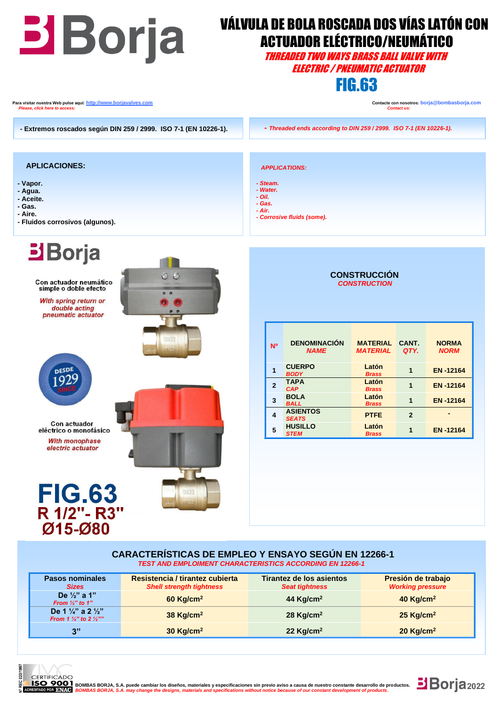| <b>Borja</b>                                                                                                                                      | <b>VÁLVULA DE BOLA ROSCADA DOS VÍAS LATÓN CON</b><br><b>ACTUADOR ELÉCTRICO/NEUMÁTICO</b><br>Threaded two ways brass ball valve with<br><i><b>ELECTRIC / PNEUMATIC ACTUATOR</b></i><br><b>FIG.63</b>                                                                                                                                                                                                                                                                                                                                                                                                                              |  |  |  |
|---------------------------------------------------------------------------------------------------------------------------------------------------|----------------------------------------------------------------------------------------------------------------------------------------------------------------------------------------------------------------------------------------------------------------------------------------------------------------------------------------------------------------------------------------------------------------------------------------------------------------------------------------------------------------------------------------------------------------------------------------------------------------------------------|--|--|--|
| Para visitar nuestra Web pulse aquí: <u>http://www.borjavalves.com</u><br>Please, click here to access:                                           | Contacte con nosotros: borja@bombasborja.com<br><b>Contact us:</b>                                                                                                                                                                                                                                                                                                                                                                                                                                                                                                                                                               |  |  |  |
| - Extremos roscados según DIN 259 / 2999. ISO 7-1 (EN 10226-1).                                                                                   | - Threaded ends according to DIN 259 / 2999. ISO 7-1 (EN 10226-1).                                                                                                                                                                                                                                                                                                                                                                                                                                                                                                                                                               |  |  |  |
| <b>APLICACIONES:</b><br>- Vapor.<br>- Agua.<br>- Aceite.<br>- Gas.<br>- Aire.<br>- Fluidos corrosivos (algunos).                                  | <b>APPLICATIONS:</b><br>- Steam.<br>- Water.<br>$- Oil.$<br>- Gas.<br>- Air.<br>- Corrosive fluids (some).                                                                                                                                                                                                                                                                                                                                                                                                                                                                                                                       |  |  |  |
| <b>Borja</b><br>O <sub>O</sub><br>Con actuador neumático<br>simple o doble efecto<br>With spring return or<br>double acting<br>pneumatic actuator | <b>CONSTRUCCIÓN</b><br><b>CONSTRUCTION</b>                                                                                                                                                                                                                                                                                                                                                                                                                                                                                                                                                                                       |  |  |  |
| DN32<br><b>DESDE</b><br><b>Con actuador</b><br>eléctrico o monofásico<br><b>With monophase</b><br>electric actuator                               | <b>DENOMINACIÓN</b><br><b>MATERIAL</b><br><b>NORMA</b><br>CANT.<br>N <sup>o</sup><br><b>NAME</b><br><b>MATERIAL</b><br>QTY.<br><b>NORM</b><br><b>CUERPO</b><br>Latón<br>$\mathbf{1}$<br>$\mathbf{1}$<br><b>EN-12164</b><br><b>BODY</b><br><b>Brass</b><br><b>TAPA</b><br>Latón<br>$\overline{2}$<br>$\mathbf{1}$<br><b>EN-12164</b><br><b>CAP</b><br><b>Brass</b><br><b>BOLA</b><br>Latón<br>3<br>$\mathbf{1}$<br><b>EN-12164</b><br><b>BALL</b><br><b>Brass</b><br><b>ASIENTOS</b><br>4<br><b>PTFE</b><br>$\overline{2}$<br><b>SEATS</b><br><b>HUSILLO</b><br>Latón<br>5<br>1<br><b>EN-12164</b><br><b>STEM</b><br><b>Brass</b> |  |  |  |
| <b>FIG.63</b><br>DN32<br>R 1/2"- R3"<br>$Ø15 - Ø80$                                                                                               |                                                                                                                                                                                                                                                                                                                                                                                                                                                                                                                                                                                                                                  |  |  |  |
|                                                                                                                                                   | <b>CARACTERÍSTICAS DE EMPLEO Y ENSAYO SEGÚN EN 12266-1</b><br><b>TEST AND EMPLOIMENT CHARACTERISTICS ACCORDING EN 12266-1</b>                                                                                                                                                                                                                                                                                                                                                                                                                                                                                                    |  |  |  |

| <b>Pasos nominales</b><br><b>Sizes</b>                                                   | Resistencia / tirantez cubierta<br><b>Shell strength tightness</b> | Tirantez de los asientos<br><b>Seat tightness</b> | Presión de trabajo<br><b>Working pressure</b> |
|------------------------------------------------------------------------------------------|--------------------------------------------------------------------|---------------------------------------------------|-----------------------------------------------|
| De $\frac{1}{2}$ " a 1"<br>From $\frac{1}{2}$ " to 1"                                    | $60$ Kg/cm <sup>2</sup>                                            | 44 Kg/cm <sup>2</sup>                             | 40 Kg/cm <sup>2</sup>                         |
| De 1 $\frac{1}{4}$ " a 2 $\frac{1}{2}$ "<br>From 1 $\frac{1}{4}$ " to 2 $\frac{1}{2}$ "" | 38 Kg/cm <sup>2</sup>                                              | 28 Kg/cm <sup>2</sup>                             | $25$ Kg/cm <sup>2</sup>                       |
| 3"                                                                                       | $30$ Kg/cm <sup>2</sup>                                            | 22 $Kg/cm2$                                       | $20$ Kg/cm <sup>2</sup>                       |



**1990 FROMBAS BORJA, S.A. puede cambiar los diseños, materiales y especificaciones sin previo aviso a causa de nuestro constante desarrollo de productos.**<br>POR BNAC BOMBAS BORJA, S.A. may change the designs, materials and s